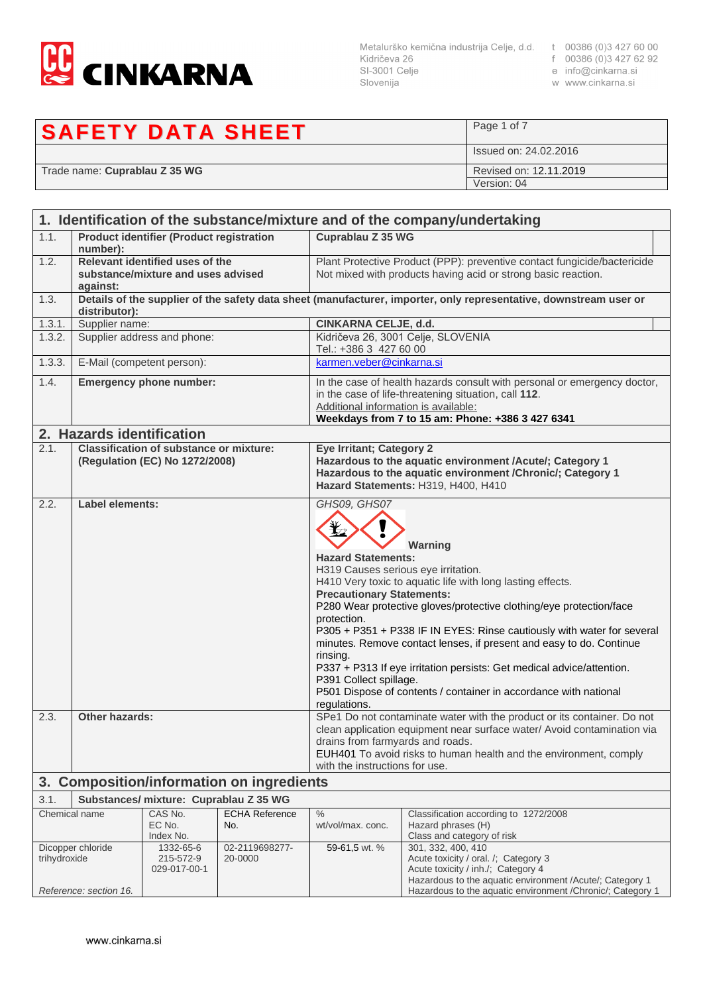

SI-3001 Celje Slovenija

- e info@cinkarna.si
	-
	- w www.cinkarna.si

## Page 1 of 7 **SAFETY DATA SHEET** Issued on: 24.02.2016 Revised on: 12.11.2019 Trade name: Cuprablau Z 35 WG Version: 04

| 1. Identification of the substance/mixture and of the company/undertaking                                                          |                                                                                   |                                                 |                                                                                                                                                                                                                             |                                                                                                                                                                                                                                                                                                                                                                                                                                                                                   |                                                                                                                   |
|------------------------------------------------------------------------------------------------------------------------------------|-----------------------------------------------------------------------------------|-------------------------------------------------|-----------------------------------------------------------------------------------------------------------------------------------------------------------------------------------------------------------------------------|-----------------------------------------------------------------------------------------------------------------------------------------------------------------------------------------------------------------------------------------------------------------------------------------------------------------------------------------------------------------------------------------------------------------------------------------------------------------------------------|-------------------------------------------------------------------------------------------------------------------|
| 1.1.                                                                                                                               | number):                                                                          | <b>Product identifier (Product registration</b> |                                                                                                                                                                                                                             | Cuprablau Z 35 WG                                                                                                                                                                                                                                                                                                                                                                                                                                                                 |                                                                                                                   |
| 1.2.                                                                                                                               | Relevant identified uses of the<br>substance/mixture and uses advised<br>against: |                                                 |                                                                                                                                                                                                                             | Plant Protective Product (PPP): preventive contact fungicide/bactericide<br>Not mixed with products having acid or strong basic reaction.                                                                                                                                                                                                                                                                                                                                         |                                                                                                                   |
| 1.3.                                                                                                                               | distributor):                                                                     |                                                 |                                                                                                                                                                                                                             |                                                                                                                                                                                                                                                                                                                                                                                                                                                                                   | Details of the supplier of the safety data sheet (manufacturer, importer, only representative, downstream user or |
| 1.3.1.                                                                                                                             | Supplier name:                                                                    |                                                 |                                                                                                                                                                                                                             | CINKARNA CELJE, d.d.                                                                                                                                                                                                                                                                                                                                                                                                                                                              |                                                                                                                   |
| 1.3.2.                                                                                                                             |                                                                                   | Supplier address and phone:                     |                                                                                                                                                                                                                             | Tel.: +386 3 427 60 00                                                                                                                                                                                                                                                                                                                                                                                                                                                            | Kidričeva 26, 3001 Celje, SLOVENIA                                                                                |
| 1.3.3.                                                                                                                             |                                                                                   | E-Mail (competent person):                      |                                                                                                                                                                                                                             | karmen.veber@cinkarna.si                                                                                                                                                                                                                                                                                                                                                                                                                                                          |                                                                                                                   |
| 1.4.                                                                                                                               |                                                                                   | <b>Emergency phone number:</b>                  |                                                                                                                                                                                                                             | In the case of health hazards consult with personal or emergency doctor,<br>in the case of life-threatening situation, call 112.<br>Additional information is available:<br>Weekdays from 7 to 15 am: Phone: +386 3 427 6341                                                                                                                                                                                                                                                      |                                                                                                                   |
|                                                                                                                                    | 2. Hazards identification                                                         |                                                 |                                                                                                                                                                                                                             |                                                                                                                                                                                                                                                                                                                                                                                                                                                                                   |                                                                                                                   |
| 2.1.                                                                                                                               | <b>Classification of substance or mixture:</b><br>(Regulation (EC) No 1272/2008)  |                                                 | <b>Eye Irritant; Category 2</b>                                                                                                                                                                                             | Hazardous to the aquatic environment /Acute/; Category 1<br>Hazardous to the aquatic environment / Chronic/; Category 1<br>Hazard Statements: H319, H400, H410                                                                                                                                                                                                                                                                                                                    |                                                                                                                   |
|                                                                                                                                    | <b>Label elements:</b><br>2.2.                                                    |                                                 | GHS09, GHS07<br><b>Hazard Statements:</b><br><b>Precautionary Statements:</b><br>protection.<br>rinsing.<br>P391 Collect spillage.<br>regulations.                                                                          | Warning<br>H319 Causes serious eye irritation.<br>H410 Very toxic to aquatic life with long lasting effects.<br>P280 Wear protective gloves/protective clothing/eye protection/face<br>P305 + P351 + P338 IF IN EYES: Rinse cautiously with water for several<br>minutes. Remove contact lenses, if present and easy to do. Continue<br>P337 + P313 If eye irritation persists: Get medical advice/attention.<br>P501 Dispose of contents / container in accordance with national |                                                                                                                   |
| 2.3.                                                                                                                               | <b>Other hazards:</b>                                                             |                                                 | with the instructions for use.                                                                                                                                                                                              | SPe1 Do not contaminate water with the product or its container. Do not<br>clean application equipment near surface water/ Avoid contamination via<br>drains from farmyards and roads.<br>EUH401 To avoid risks to human health and the environment, comply                                                                                                                                                                                                                       |                                                                                                                   |
| 3. Composition/information on ingredients                                                                                          |                                                                                   |                                                 |                                                                                                                                                                                                                             |                                                                                                                                                                                                                                                                                                                                                                                                                                                                                   |                                                                                                                   |
| 3.1.                                                                                                                               | Substances/ mixture: Cuprablau Z 35 WG                                            |                                                 |                                                                                                                                                                                                                             |                                                                                                                                                                                                                                                                                                                                                                                                                                                                                   |                                                                                                                   |
| Chemical name                                                                                                                      |                                                                                   | CAS No.<br>EC No.<br>Index No.                  | <b>ECHA Reference</b><br>No.                                                                                                                                                                                                | $\%$<br>wt/vol/max. conc.                                                                                                                                                                                                                                                                                                                                                                                                                                                         | Classification according to 1272/2008<br>Hazard phrases (H)<br>Class and category of risk                         |
| Dicopper chloride<br>02-2119698277-<br>1332-65-6<br>trihydroxide<br>215-572-9<br>20-0000<br>029-017-00-1<br>Reference: section 16. |                                                                                   | 59-61,5 wt. %                                   | 301, 332, 400, 410<br>Acute toxicity / oral. /; Category 3<br>Acute toxicity / inh./; Category 4<br>Hazardous to the aquatic environment /Acute/; Category 1<br>Hazardous to the aquatic environment / Chronic/; Category 1 |                                                                                                                                                                                                                                                                                                                                                                                                                                                                                   |                                                                                                                   |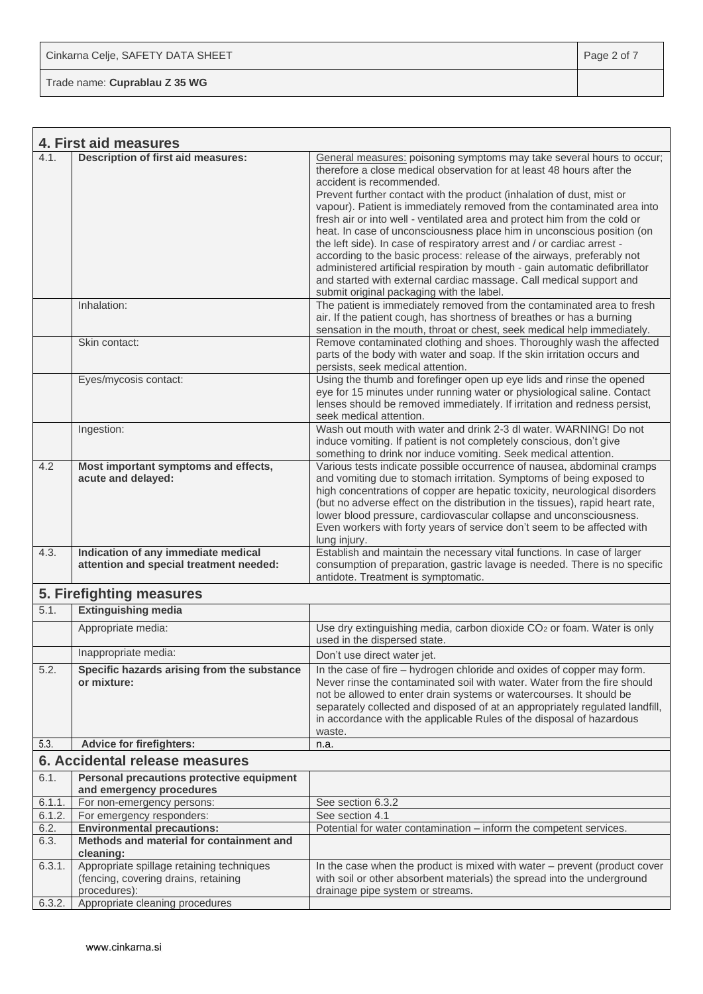Trade name: **Cuprablau Z 35 WG**

 $\Gamma$ 

|                                | 4. First aid measures                                                                             |                                                                                                                                                                                                                                                                                                                                                                                                                                                                                                                                                                                                                                            |
|--------------------------------|---------------------------------------------------------------------------------------------------|--------------------------------------------------------------------------------------------------------------------------------------------------------------------------------------------------------------------------------------------------------------------------------------------------------------------------------------------------------------------------------------------------------------------------------------------------------------------------------------------------------------------------------------------------------------------------------------------------------------------------------------------|
| 4.1.                           | <b>Description of first aid measures:</b>                                                         | General measures: poisoning symptoms may take several hours to occur;<br>therefore a close medical observation for at least 48 hours after the<br>accident is recommended.<br>Prevent further contact with the product (inhalation of dust, mist or<br>vapour). Patient is immediately removed from the contaminated area into<br>fresh air or into well - ventilated area and protect him from the cold or<br>heat. In case of unconsciousness place him in unconscious position (on<br>the left side). In case of respiratory arrest and / or cardiac arrest -<br>according to the basic process: release of the airways, preferably not |
|                                |                                                                                                   | administered artificial respiration by mouth - gain automatic defibrillator<br>and started with external cardiac massage. Call medical support and<br>submit original packaging with the label.                                                                                                                                                                                                                                                                                                                                                                                                                                            |
|                                | Inhalation:                                                                                       | The patient is immediately removed from the contaminated area to fresh<br>air. If the patient cough, has shortness of breathes or has a burning<br>sensation in the mouth, throat or chest, seek medical help immediately.                                                                                                                                                                                                                                                                                                                                                                                                                 |
|                                | Skin contact:                                                                                     | Remove contaminated clothing and shoes. Thoroughly wash the affected<br>parts of the body with water and soap. If the skin irritation occurs and<br>persists, seek medical attention.                                                                                                                                                                                                                                                                                                                                                                                                                                                      |
|                                | Eyes/mycosis contact:                                                                             | Using the thumb and forefinger open up eye lids and rinse the opened<br>eye for 15 minutes under running water or physiological saline. Contact<br>lenses should be removed immediately. If irritation and redness persist,<br>seek medical attention.                                                                                                                                                                                                                                                                                                                                                                                     |
|                                | Ingestion:                                                                                        | Wash out mouth with water and drink 2-3 dl water, WARNING! Do not<br>induce vomiting. If patient is not completely conscious, don't give<br>something to drink nor induce vomiting. Seek medical attention.                                                                                                                                                                                                                                                                                                                                                                                                                                |
| 4.2                            | Most important symptoms and effects,<br>acute and delayed:                                        | Various tests indicate possible occurrence of nausea, abdominal cramps<br>and vomiting due to stomach irritation. Symptoms of being exposed to<br>high concentrations of copper are hepatic toxicity, neurological disorders<br>(but no adverse effect on the distribution in the tissues), rapid heart rate,<br>lower blood pressure, cardiovascular collapse and unconsciousness.<br>Even workers with forty years of service don't seem to be affected with<br>lung injury.                                                                                                                                                             |
| 4.3.                           | Indication of any immediate medical<br>attention and special treatment needed:                    | Establish and maintain the necessary vital functions. In case of larger<br>consumption of preparation, gastric lavage is needed. There is no specific<br>antidote. Treatment is symptomatic.                                                                                                                                                                                                                                                                                                                                                                                                                                               |
|                                | 5. Firefighting measures                                                                          |                                                                                                                                                                                                                                                                                                                                                                                                                                                                                                                                                                                                                                            |
| 5.1.                           | <b>Extinguishing media</b>                                                                        |                                                                                                                                                                                                                                                                                                                                                                                                                                                                                                                                                                                                                                            |
|                                | Appropriate media:                                                                                | Use dry extinguishing media, carbon dioxide CO <sub>2</sub> or foam. Water is only<br>used in the dispersed state.                                                                                                                                                                                                                                                                                                                                                                                                                                                                                                                         |
|                                | Inappropriate media:                                                                              | Don't use direct water jet.                                                                                                                                                                                                                                                                                                                                                                                                                                                                                                                                                                                                                |
| 5.2.                           | Specific hazards arising from the substance<br>or mixture:                                        | In the case of fire – hydrogen chloride and oxides of copper may form.<br>Never rinse the contaminated soil with water. Water from the fire should<br>not be allowed to enter drain systems or watercourses. It should be<br>separately collected and disposed of at an appropriately regulated landfill,<br>in accordance with the applicable Rules of the disposal of hazardous<br>waste.                                                                                                                                                                                                                                                |
| 5.3.                           | <b>Advice for firefighters:</b>                                                                   | n.a.                                                                                                                                                                                                                                                                                                                                                                                                                                                                                                                                                                                                                                       |
| 6. Accidental release measures |                                                                                                   |                                                                                                                                                                                                                                                                                                                                                                                                                                                                                                                                                                                                                                            |
| 6.1.                           | Personal precautions protective equipment<br>and emergency procedures                             |                                                                                                                                                                                                                                                                                                                                                                                                                                                                                                                                                                                                                                            |
| 6.1.1.                         | For non-emergency persons:                                                                        | See section 6.3.2                                                                                                                                                                                                                                                                                                                                                                                                                                                                                                                                                                                                                          |
| 6.1.2.                         | For emergency responders:                                                                         | See section 4.1                                                                                                                                                                                                                                                                                                                                                                                                                                                                                                                                                                                                                            |
| 6.2.                           | <b>Environmental precautions:</b>                                                                 | Potential for water contamination - inform the competent services.                                                                                                                                                                                                                                                                                                                                                                                                                                                                                                                                                                         |
| 6.3.                           | Methods and material for containment and<br>cleaning:                                             |                                                                                                                                                                                                                                                                                                                                                                                                                                                                                                                                                                                                                                            |
| 6.3.1.                         | Appropriate spillage retaining techniques<br>(fencing, covering drains, retaining<br>procedures): | In the case when the product is mixed with water – prevent (product cover<br>with soil or other absorbent materials) the spread into the underground<br>drainage pipe system or streams.                                                                                                                                                                                                                                                                                                                                                                                                                                                   |
| 6.3.2.                         | Appropriate cleaning procedures                                                                   |                                                                                                                                                                                                                                                                                                                                                                                                                                                                                                                                                                                                                                            |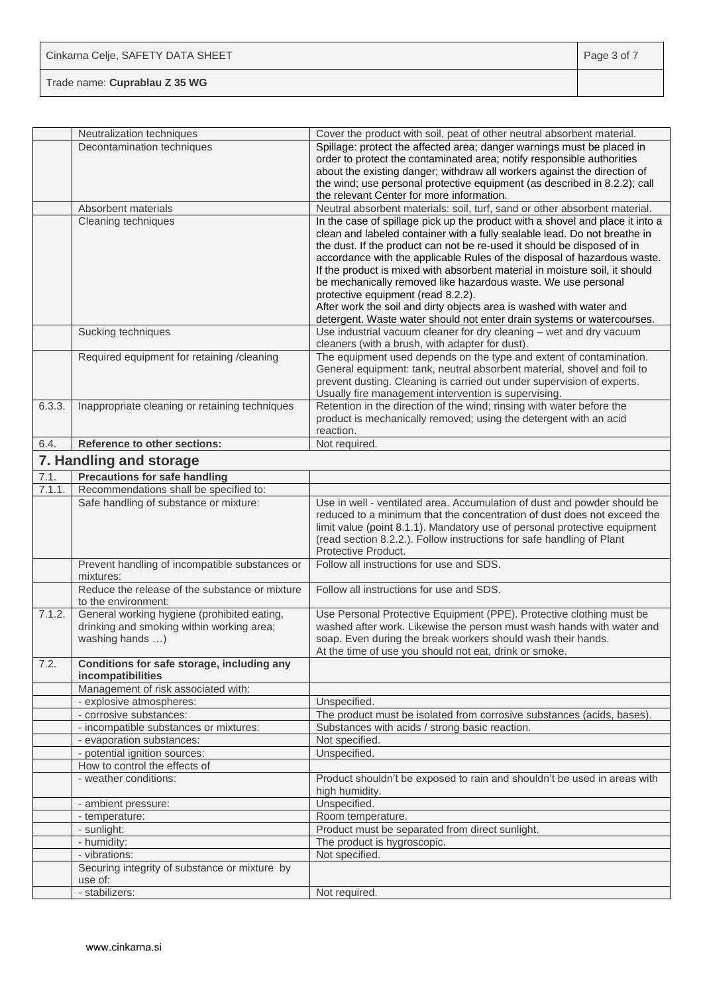|        | Neutralization techniques                                             | Cover the product with soil, peat of other neutral absorbent material.                                                                        |
|--------|-----------------------------------------------------------------------|-----------------------------------------------------------------------------------------------------------------------------------------------|
|        | Decontamination techniques                                            | Spillage: protect the affected area; danger warnings must be placed in                                                                        |
|        |                                                                       | order to protect the contaminated area; notify responsible authorities                                                                        |
|        |                                                                       | about the existing danger; withdraw all workers against the direction of                                                                      |
|        |                                                                       | the wind; use personal protective equipment (as described in 8.2.2); call                                                                     |
|        |                                                                       | the relevant Center for more information.                                                                                                     |
|        | Absorbent materials                                                   | Neutral absorbent materials: soil, turf, sand or other absorbent material.                                                                    |
|        | Cleaning techniques                                                   | In the case of spillage pick up the product with a shovel and place it into a                                                                 |
|        |                                                                       | clean and labeled container with a fully sealable lead. Do not breathe in                                                                     |
|        |                                                                       | the dust. If the product can not be re-used it should be disposed of in                                                                       |
|        |                                                                       | accordance with the applicable Rules of the disposal of hazardous waste.                                                                      |
|        |                                                                       | If the product is mixed with absorbent material in moisture soil, it should                                                                   |
|        |                                                                       | be mechanically removed like hazardous waste. We use personal                                                                                 |
|        |                                                                       | protective equipment (read 8.2.2).                                                                                                            |
|        |                                                                       | After work the soil and dirty objects area is washed with water and                                                                           |
|        | Sucking techniques                                                    | detergent. Waste water should not enter drain systems or watercourses.<br>Use industrial vacuum cleaner for dry cleaning - wet and dry vacuum |
|        |                                                                       | cleaners (with a brush, with adapter for dust).                                                                                               |
|        | Required equipment for retaining /cleaning                            | The equipment used depends on the type and extent of contamination.                                                                           |
|        |                                                                       | General equipment: tank, neutral absorbent material, shovel and foil to                                                                       |
|        |                                                                       | prevent dusting. Cleaning is carried out under supervision of experts.                                                                        |
|        |                                                                       | Usually fire management intervention is supervising.                                                                                          |
| 6.3.3. | Inappropriate cleaning or retaining techniques                        | Retention in the direction of the wind; rinsing with water before the                                                                         |
|        |                                                                       | product is mechanically removed; using the detergent with an acid                                                                             |
|        |                                                                       | reaction.                                                                                                                                     |
| 6.4.   | <b>Reference to other sections:</b>                                   | Not required.                                                                                                                                 |
|        | 7. Handling and storage                                               |                                                                                                                                               |
| 7.1.   | <b>Precautions for safe handling</b>                                  |                                                                                                                                               |
| 7.1.1. | Recommendations shall be specified to:                                |                                                                                                                                               |
|        | Safe handling of substance or mixture:                                | Use in well - ventilated area. Accumulation of dust and powder should be                                                                      |
|        |                                                                       | reduced to a minimum that the concentration of dust does not exceed the                                                                       |
|        |                                                                       | limit value (point 8.1.1). Mandatory use of personal protective equipment                                                                     |
|        |                                                                       | (read section 8.2.2.). Follow instructions for safe handling of Plant                                                                         |
|        |                                                                       | Protective Product.                                                                                                                           |
|        | Prevent handling of incompatible substances or<br>mixtures:           | Follow all instructions for use and SDS.                                                                                                      |
|        | Reduce the release of the substance or mixture<br>to the environment: | Follow all instructions for use and SDS.                                                                                                      |
| 7.1.2. | General working hygiene (prohibited eating,                           | Use Personal Protective Equipment (PPE). Protective clothing must be                                                                          |
|        | drinking and smoking within working area;                             | washed after work. Likewise the person must wash hands with water and                                                                         |
|        | washing hands )                                                       | soap. Even during the break workers should wash their hands.                                                                                  |
|        |                                                                       | At the time of use you should not eat, drink or smoke.                                                                                        |
| 7.2.   | Conditions for safe storage, including any<br>incompatibilities       |                                                                                                                                               |
|        | Management of risk associated with:                                   |                                                                                                                                               |
|        | - explosive atmospheres:                                              | Unspecified.                                                                                                                                  |
|        | - corrosive substances:                                               | The product must be isolated from corrosive substances (acids, bases).                                                                        |
|        | - incompatible substances or mixtures:                                | Substances with acids / strong basic reaction.                                                                                                |
|        | - evaporation substances:                                             | Not specified.                                                                                                                                |
|        | - potential ignition sources:                                         | Unspecified.                                                                                                                                  |
|        | How to control the effects of                                         |                                                                                                                                               |
|        | - weather conditions:                                                 | Product shouldn't be exposed to rain and shouldn't be used in areas with<br>high humidity.                                                    |
|        | - ambient pressure:                                                   | Unspecified.                                                                                                                                  |
|        | - temperature:                                                        | Room temperature.                                                                                                                             |
|        | - sunlight:                                                           | Product must be separated from direct sunlight.                                                                                               |
|        | - humidity:                                                           | The product is hygroscopic.                                                                                                                   |
|        | - vibrations:                                                         | Not specified.                                                                                                                                |
|        | Securing integrity of substance or mixture by                         |                                                                                                                                               |
|        | use of:                                                               |                                                                                                                                               |
|        | - stabilizers:                                                        | Not required.                                                                                                                                 |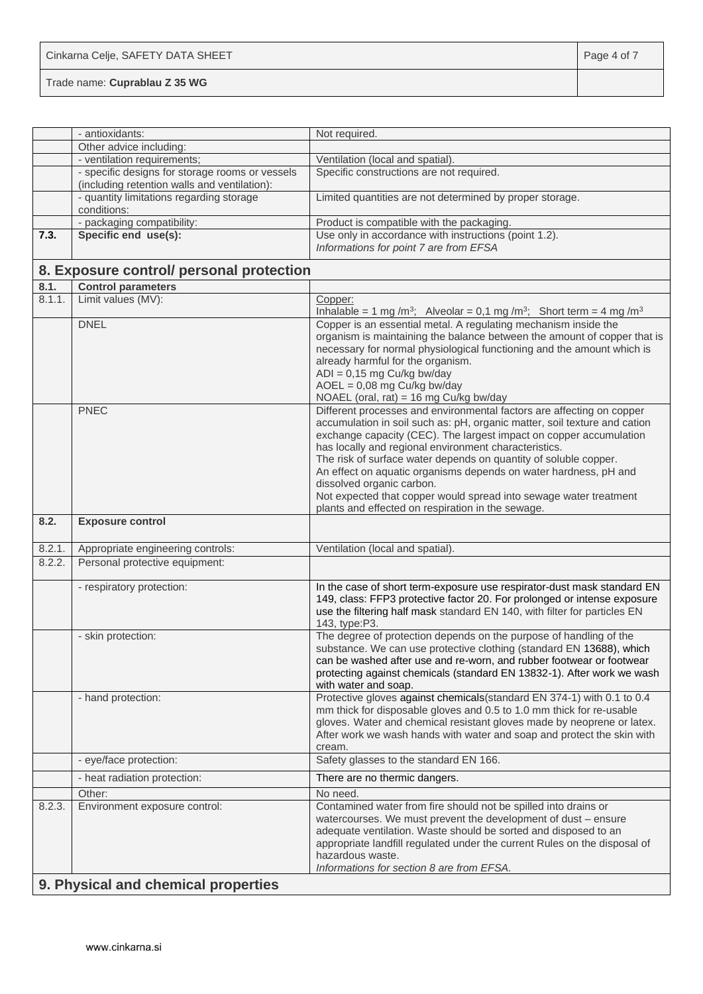| Cinkarna Celje, SAFETY DATA SHEET | Page 4 of 7 |
|-----------------------------------|-------------|
| Trade name: Cuprablau Z 35 WG     |             |

|        | - antioxidants:                                                                                 | Not required.                                                                                                                                                                                                                                                                                                                                                                                                                                                                                                                                                                    |  |
|--------|-------------------------------------------------------------------------------------------------|----------------------------------------------------------------------------------------------------------------------------------------------------------------------------------------------------------------------------------------------------------------------------------------------------------------------------------------------------------------------------------------------------------------------------------------------------------------------------------------------------------------------------------------------------------------------------------|--|
|        | Other advice including:                                                                         |                                                                                                                                                                                                                                                                                                                                                                                                                                                                                                                                                                                  |  |
|        | - ventilation requirements;                                                                     | Ventilation (local and spatial).                                                                                                                                                                                                                                                                                                                                                                                                                                                                                                                                                 |  |
|        | - specific designs for storage rooms or vessels<br>(including retention walls and ventilation): | Specific constructions are not required.                                                                                                                                                                                                                                                                                                                                                                                                                                                                                                                                         |  |
|        | - quantity limitations regarding storage<br>conditions:                                         | Limited quantities are not determined by proper storage.                                                                                                                                                                                                                                                                                                                                                                                                                                                                                                                         |  |
|        | - packaging compatibility:                                                                      | Product is compatible with the packaging.                                                                                                                                                                                                                                                                                                                                                                                                                                                                                                                                        |  |
| 7.3.   | Specific end use(s):                                                                            | Use only in accordance with instructions (point 1.2).<br>Informations for point 7 are from EFSA                                                                                                                                                                                                                                                                                                                                                                                                                                                                                  |  |
|        | 8. Exposure control/ personal protection                                                        |                                                                                                                                                                                                                                                                                                                                                                                                                                                                                                                                                                                  |  |
| 8.1.   | <b>Control parameters</b>                                                                       |                                                                                                                                                                                                                                                                                                                                                                                                                                                                                                                                                                                  |  |
| 8.1.1. | Limit values (MV):                                                                              | Copper:<br>Inhalable = 1 mg /m <sup>3</sup> ; Alveolar = 0,1 mg /m <sup>3</sup> ; Short term = 4 mg /m <sup>3</sup>                                                                                                                                                                                                                                                                                                                                                                                                                                                              |  |
|        | <b>DNEL</b>                                                                                     | Copper is an essential metal. A regulating mechanism inside the<br>organism is maintaining the balance between the amount of copper that is<br>necessary for normal physiological functioning and the amount which is<br>already harmful for the organism.<br>$ADI = 0,15$ mg Cu/kg bw/day<br>$AOEL = 0.08$ mg Cu/kg bw/day<br>NOAEL (oral, rat) = 16 mg Cu/kg bw/day                                                                                                                                                                                                            |  |
|        | <b>PNEC</b>                                                                                     | Different processes and environmental factors are affecting on copper<br>accumulation in soil such as: pH, organic matter, soil texture and cation<br>exchange capacity (CEC). The largest impact on copper accumulation<br>has locally and regional environment characteristics.<br>The risk of surface water depends on quantity of soluble copper.<br>An effect on aquatic organisms depends on water hardness, pH and<br>dissolved organic carbon.<br>Not expected that copper would spread into sewage water treatment<br>plants and effected on respiration in the sewage. |  |
| 8.2.   | <b>Exposure control</b>                                                                         |                                                                                                                                                                                                                                                                                                                                                                                                                                                                                                                                                                                  |  |
| 8.2.1. | Appropriate engineering controls:                                                               | Ventilation (local and spatial).                                                                                                                                                                                                                                                                                                                                                                                                                                                                                                                                                 |  |
| 8.2.2. | Personal protective equipment:                                                                  |                                                                                                                                                                                                                                                                                                                                                                                                                                                                                                                                                                                  |  |
|        | - respiratory protection:                                                                       | In the case of short term-exposure use respirator-dust mask standard EN<br>149, class: FFP3 protective factor 20. For prolonged or intense exposure<br>use the filtering half mask standard EN 140, with filter for particles EN<br>143, type:P3.                                                                                                                                                                                                                                                                                                                                |  |
|        | - skin protection:                                                                              | The degree of protection depends on the purpose of handling of the<br>substance. We can use protective clothing (standard EN 13688), which<br>can be washed after use and re-worn, and rubber footwear or footwear<br>protecting against chemicals (standard EN 13832-1). After work we wash<br>with water and soap.                                                                                                                                                                                                                                                             |  |
|        | - hand protection:                                                                              | Protective gloves against chemicals (standard EN 374-1) with 0.1 to 0.4<br>mm thick for disposable gloves and 0.5 to 1.0 mm thick for re-usable<br>gloves. Water and chemical resistant gloves made by neoprene or latex.<br>After work we wash hands with water and soap and protect the skin with<br>cream.                                                                                                                                                                                                                                                                    |  |
|        | - eye/face protection:                                                                          | Safety glasses to the standard EN 166.                                                                                                                                                                                                                                                                                                                                                                                                                                                                                                                                           |  |
|        | - heat radiation protection:                                                                    | There are no thermic dangers.                                                                                                                                                                                                                                                                                                                                                                                                                                                                                                                                                    |  |
|        | Other:                                                                                          | No need.                                                                                                                                                                                                                                                                                                                                                                                                                                                                                                                                                                         |  |
| 8.2.3. | Environment exposure control:                                                                   | Contamined water from fire should not be spilled into drains or<br>watercourses. We must prevent the development of dust - ensure<br>adequate ventilation. Waste should be sorted and disposed to an<br>appropriate landfill regulated under the current Rules on the disposal of<br>hazardous waste.<br>Informations for section 8 are from EFSA.                                                                                                                                                                                                                               |  |
|        | 9. Physical and chemical properties                                                             |                                                                                                                                                                                                                                                                                                                                                                                                                                                                                                                                                                                  |  |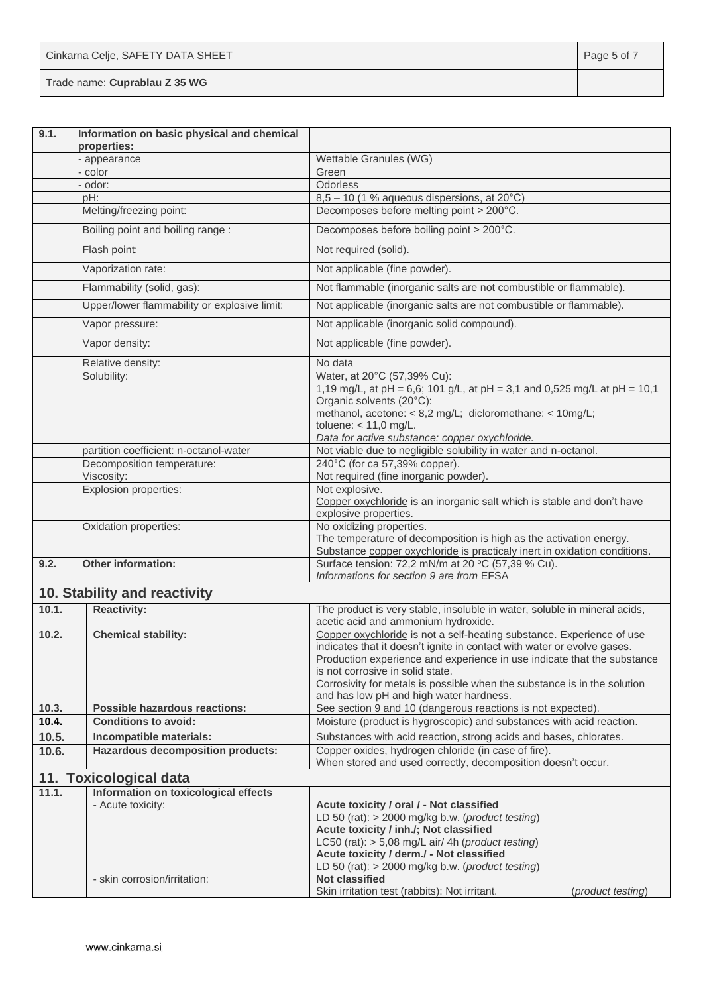| Cinkarna Celje, SAFETY DATA SHEET | Page 5 of 7 |
|-----------------------------------|-------------|
| Trade name: Cuprablau Z 35 WG     |             |

| 9.1.  | Information on basic physical and chemical<br>properties: |                                                                                                                                                                                                                                                                                                                                                                                        |
|-------|-----------------------------------------------------------|----------------------------------------------------------------------------------------------------------------------------------------------------------------------------------------------------------------------------------------------------------------------------------------------------------------------------------------------------------------------------------------|
|       | - appearance                                              | Wettable Granules (WG)                                                                                                                                                                                                                                                                                                                                                                 |
|       | - color                                                   | Green                                                                                                                                                                                                                                                                                                                                                                                  |
|       | - odor:                                                   | Odorless                                                                                                                                                                                                                                                                                                                                                                               |
|       | pH:                                                       | $8,5 - 10$ (1 % aqueous dispersions, at 20 $^{\circ}$ C)                                                                                                                                                                                                                                                                                                                               |
|       | Melting/freezing point:                                   | Decomposes before melting point > 200°C.                                                                                                                                                                                                                                                                                                                                               |
|       | Boiling point and boiling range:                          | Decomposes before boiling point > 200°C.                                                                                                                                                                                                                                                                                                                                               |
|       | Flash point:                                              | Not required (solid).                                                                                                                                                                                                                                                                                                                                                                  |
|       | Vaporization rate:                                        | Not applicable (fine powder).                                                                                                                                                                                                                                                                                                                                                          |
|       | Flammability (solid, gas):                                | Not flammable (inorganic salts are not combustible or flammable).                                                                                                                                                                                                                                                                                                                      |
|       | Upper/lower flammability or explosive limit:              | Not applicable (inorganic salts are not combustible or flammable).                                                                                                                                                                                                                                                                                                                     |
|       | Vapor pressure:                                           | Not applicable (inorganic solid compound).                                                                                                                                                                                                                                                                                                                                             |
|       | Vapor density:                                            | Not applicable (fine powder).                                                                                                                                                                                                                                                                                                                                                          |
|       | Relative density:                                         | No data                                                                                                                                                                                                                                                                                                                                                                                |
|       | Solubility:                                               | Water, at 20°C (57,39% Cu):<br>1,19 mg/L, at pH = 6,6; 101 g/L, at pH = 3,1 and 0,525 mg/L at pH = 10,1<br>Organic solvents (20°C):<br>methanol, acetone: < 8,2 mg/L; dicloromethane: < 10mg/L;<br>toluene: $< 11,0$ mg/L.<br>Data for active substance: copper oxychloride.                                                                                                           |
|       | partition coefficient: n-octanol-water                    | Not viable due to negligible solubility in water and n-octanol.                                                                                                                                                                                                                                                                                                                        |
|       | Decomposition temperature:                                | 240°C (for ca 57,39% copper).                                                                                                                                                                                                                                                                                                                                                          |
|       | Viscosity:                                                | Not required (fine inorganic powder).                                                                                                                                                                                                                                                                                                                                                  |
|       | Explosion properties:                                     | Not explosive.<br>Copper oxychloride is an inorganic salt which is stable and don't have<br>explosive properties.                                                                                                                                                                                                                                                                      |
|       | Oxidation properties:                                     | No oxidizing properties.<br>The temperature of decomposition is high as the activation energy.<br>Substance copper oxychloride is practicaly inert in oxidation conditions.                                                                                                                                                                                                            |
| 9.2.  | <b>Other information:</b>                                 | Surface tension: 72,2 mN/m at 20 °C (57,39 % Cu).<br>Informations for section 9 are from EFSA                                                                                                                                                                                                                                                                                          |
|       | 10. Stability and reactivity                              |                                                                                                                                                                                                                                                                                                                                                                                        |
| 10.1. | <b>Reactivity:</b>                                        | The product is very stable, insoluble in water, soluble in mineral acids,<br>acetic acid and ammonium hydroxide.                                                                                                                                                                                                                                                                       |
| 10.2. | <b>Chemical stability:</b>                                | Copper oxychloride is not a self-heating substance. Experience of use<br>indicates that it doesn't ignite in contact with water or evolve gases.<br>Production experience and experience in use indicate that the substance<br>is not corrosive in solid state.<br>Corrosivity for metals is possible when the substance is in the solution<br>and has low pH and high water hardness. |
| 10.3. | <b>Possible hazardous reactions:</b>                      | See section 9 and 10 (dangerous reactions is not expected).                                                                                                                                                                                                                                                                                                                            |
| 10.4. | Conditions to avoid:                                      | Moisture (product is hygroscopic) and substances with acid reaction.                                                                                                                                                                                                                                                                                                                   |
| 10.5. | Incompatible materials:                                   | Substances with acid reaction, strong acids and bases, chlorates.                                                                                                                                                                                                                                                                                                                      |
| 10.6. | <b>Hazardous decomposition products:</b>                  | Copper oxides, hydrogen chloride (in case of fire).<br>When stored and used correctly, decomposition doesn't occur.                                                                                                                                                                                                                                                                    |
|       | 11. Toxicological data                                    |                                                                                                                                                                                                                                                                                                                                                                                        |
| 11.1. | Information on toxicological effects                      |                                                                                                                                                                                                                                                                                                                                                                                        |
|       | - Acute toxicity:                                         | Acute toxicity / oral / - Not classified<br>LD 50 (rat): > 2000 mg/kg b.w. (product testing)<br>Acute toxicity / inh./; Not classified<br>LC50 (rat): $> 5,08$ mg/L air/ 4h (product testing)<br>Acute toxicity / derm./ - Not classified<br>LD 50 (rat): > 2000 mg/kg b.w. (product testing)                                                                                          |
|       | - skin corrosion/irritation:                              | <b>Not classified</b><br>Skin irritation test (rabbits): Not irritant.<br>(product testing)                                                                                                                                                                                                                                                                                            |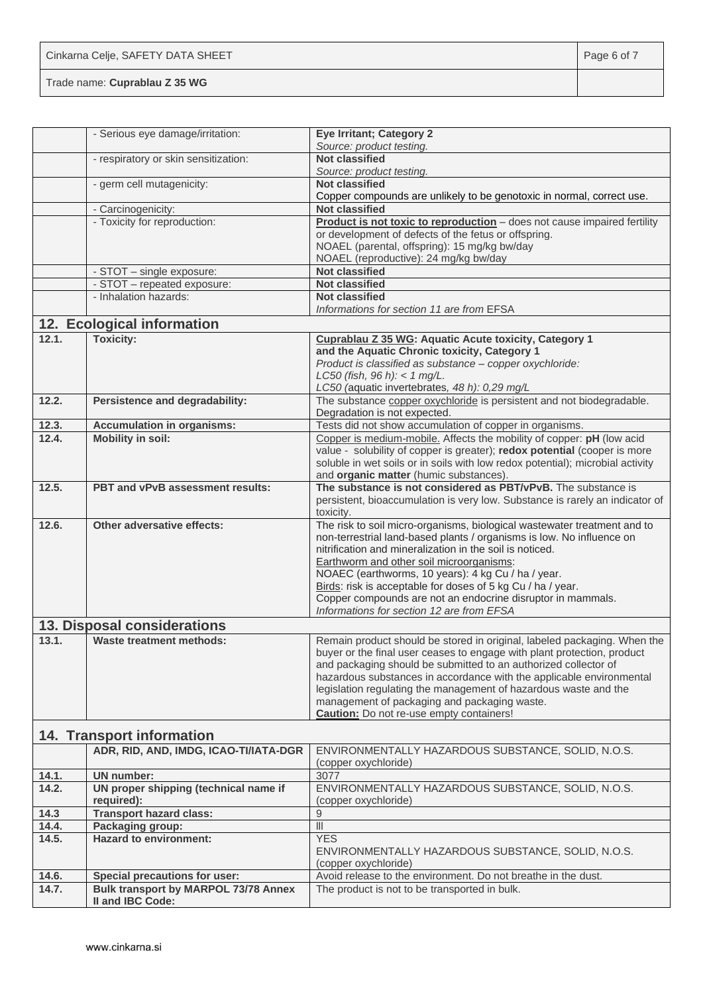| Cinkarna Celje, SAFETY DATA SHEET | Page 6 of 7 |
|-----------------------------------|-------------|
| Trade name: Cuprablau Z 35 WG     |             |

|                | - Serious eye damage/irritation:                   | <b>Eye Irritant; Category 2</b>                                                                                                         |
|----------------|----------------------------------------------------|-----------------------------------------------------------------------------------------------------------------------------------------|
|                |                                                    | Source: product testing.                                                                                                                |
|                | - respiratory or skin sensitization:               | <b>Not classified</b>                                                                                                                   |
|                |                                                    | Source: product testing.                                                                                                                |
|                | - germ cell mutagenicity:                          | <b>Not classified</b>                                                                                                                   |
|                |                                                    | Copper compounds are unlikely to be genotoxic in normal, correct use.<br><b>Not classified</b>                                          |
|                | - Carcinogenicity:<br>- Toxicity for reproduction: | Product is not toxic to reproduction - does not cause impaired fertility                                                                |
|                |                                                    | or development of defects of the fetus or offspring.                                                                                    |
|                |                                                    | NOAEL (parental, offspring): 15 mg/kg bw/day                                                                                            |
|                |                                                    | NOAEL (reproductive): 24 mg/kg bw/day                                                                                                   |
|                | - STOT - single exposure:                          | <b>Not classified</b>                                                                                                                   |
|                | - STOT - repeated exposure:                        | <b>Not classified</b>                                                                                                                   |
|                | - Inhalation hazards:                              | <b>Not classified</b>                                                                                                                   |
|                |                                                    | Informations for section 11 are from EFSA                                                                                               |
|                | 12. Ecological information                         |                                                                                                                                         |
| 12.1.          | <b>Toxicity:</b>                                   | Cuprablau Z 35 WG: Aquatic Acute toxicity, Category 1                                                                                   |
|                |                                                    | and the Aquatic Chronic toxicity, Category 1                                                                                            |
|                |                                                    | Product is classified as substance - copper oxychloride:                                                                                |
|                |                                                    | LC50 (fish, 96 h): < 1 mg/L.                                                                                                            |
|                |                                                    | LC50 (aquatic invertebrates, 48 h): 0,29 mg/L                                                                                           |
| 12.2.          | Persistence and degradability:                     | The substance copper oxychloride is persistent and not biodegradable.                                                                   |
|                |                                                    | Degradation is not expected.                                                                                                            |
| 12.3.          | <b>Accumulation in organisms:</b>                  | Tests did not show accumulation of copper in organisms.                                                                                 |
| 12.4.          | <b>Mobility in soil:</b>                           | Copper is medium-mobile. Affects the mobility of copper: pH (low acid                                                                   |
|                |                                                    | value - solubility of copper is greater); redox potential (cooper is more                                                               |
|                |                                                    | soluble in wet soils or in soils with low redox potential); microbial activity<br>and organic matter (humic substances).                |
| 12.5.          | PBT and vPvB assessment results:                   | The substance is not considered as PBT/vPvB. The substance is                                                                           |
|                |                                                    | persistent, bioaccumulation is very low. Substance is rarely an indicator of                                                            |
|                |                                                    | toxicity.                                                                                                                               |
| 12.6.          | Other adversative effects:                         | The risk to soil micro-organisms, biological wastewater treatment and to                                                                |
|                |                                                    | non-terrestrial land-based plants / organisms is low. No influence on                                                                   |
|                |                                                    | nitrification and mineralization in the soil is noticed.                                                                                |
|                |                                                    | Earthworm and other soil microorganisms:                                                                                                |
|                |                                                    | NOAEC (earthworms, 10 years): 4 kg Cu / ha / year.                                                                                      |
|                |                                                    | Birds: risk is acceptable for doses of 5 kg Cu / ha / year.                                                                             |
|                |                                                    | Copper compounds are not an endocrine disruptor in mammals.                                                                             |
|                |                                                    | Informations for section 12 are from EFSA                                                                                               |
|                | 13. Disposal considerations                        |                                                                                                                                         |
| 13.1.          | Waste treatment methods:                           | Remain product should be stored in original, labeled packaging. When the                                                                |
|                |                                                    | buyer or the final user ceases to engage with plant protection, product                                                                 |
|                |                                                    | and packaging should be submitted to an authorized collector of<br>hazardous substances in accordance with the applicable environmental |
|                |                                                    | legislation regulating the management of hazardous waste and the                                                                        |
|                |                                                    | management of packaging and packaging waste.                                                                                            |
|                |                                                    | <b>Caution:</b> Do not re-use empty containers!                                                                                         |
|                |                                                    |                                                                                                                                         |
|                | <b>14. Transport information</b>                   |                                                                                                                                         |
|                | ADR, RID, AND, IMDG, ICAO-TI/IATA-DGR              | ENVIRONMENTALLY HAZARDOUS SUBSTANCE, SOLID, N.O.S.                                                                                      |
|                |                                                    | (copper oxychloride)                                                                                                                    |
| 14.1.          | <b>UN</b> number:                                  | 3077                                                                                                                                    |
| 14.2.          | UN proper shipping (technical name if              | ENVIRONMENTALLY HAZARDOUS SUBSTANCE, SOLID, N.O.S.                                                                                      |
|                | required):                                         | (copper oxychloride)                                                                                                                    |
| 14.3           | <b>Transport hazard class:</b>                     | 9                                                                                                                                       |
| 14.4.<br>14.5. | Packaging group:<br><b>Hazard to environment:</b>  | $\overline{\mathsf{III}}$<br><b>YES</b>                                                                                                 |
|                |                                                    | ENVIRONMENTALLY HAZARDOUS SUBSTANCE, SOLID, N.O.S.                                                                                      |
|                |                                                    | (copper oxychloride)                                                                                                                    |
| 14.6.          | <b>Special precautions for user:</b>               | Avoid release to the environment. Do not breathe in the dust.                                                                           |
| 14.7.          | <b>Bulk transport by MARPOL 73/78 Annex</b>        | The product is not to be transported in bulk.                                                                                           |
|                | II and IBC Code:                                   |                                                                                                                                         |
|                |                                                    |                                                                                                                                         |